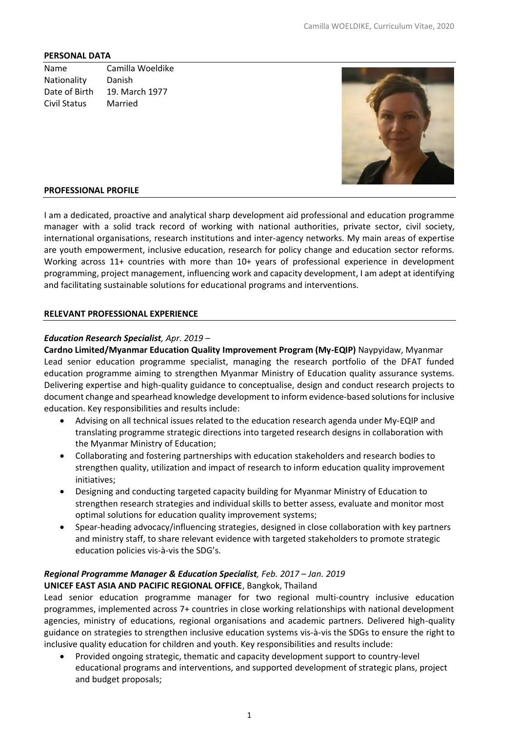#### **PERSONAL DATA**

Name Camilla Woeldike Nationality Danish Date of Birth 19. March 1977 Civil Status Married



#### **PROFESSIONAL PROFILE**

I am a dedicated, proactive and analytical sharp development aid professional and education programme manager with a solid track record of working with national authorities, private sector, civil society, international organisations, research institutions and inter-agency networks. My main areas of expertise are youth empowerment, inclusive education, research for policy change and education sector reforms. Working across 11+ countries with more than 10+ years of professional experience in development programming, project management, influencing work and capacity development, I am adept at identifying and facilitating sustainable solutions for educational programs and interventions.

#### **RELEVANT PROFESSIONAL EXPERIENCE**

#### *Education Research Specialist, Apr. 2019 –*

**Cardno Limited/Myanmar Education Quality Improvement Program (My-EQIP)** Naypyidaw, Myanmar Lead senior education programme specialist, managing the research portfolio of the DFAT funded education programme aiming to strengthen Myanmar Ministry of Education quality assurance systems. Delivering expertise and high-quality guidance to conceptualise, design and conduct research projects to document change and spearhead knowledge development to inform evidence-based solutions for inclusive education. Key responsibilities and results include:

- Advising on all technical issues related to the education research agenda under My-EQIP and translating programme strategic directions into targeted research designs in collaboration with the Myanmar Ministry of Education;
- Collaborating and fostering partnerships with education stakeholders and research bodies to strengthen quality, utilization and impact of research to inform education quality improvement initiatives;
- Designing and conducting targeted capacity building for Myanmar Ministry of Education to strengthen research strategies and individual skills to better assess, evaluate and monitor most optimal solutions for education quality improvement systems;
- Spear-heading advocacy/influencing strategies, designed in close collaboration with key partners and ministry staff, to share relevant evidence with targeted stakeholders to promote strategic education policies vis-à-vis the SDG's.

#### *Regional Programme Manager & Education Specialist, Feb. 2017 – Jan. 2019* **UNICEF EAST ASIA AND PACIFIC REGIONAL OFFICE**, Bangkok, Thailand

Lead senior education programme manager for two regional multi-country inclusive education programmes, implemented across 7+ countries in close working relationships with national development agencies, ministry of educations, regional organisations and academic partners. Delivered high-quality guidance on strategies to strengthen inclusive education systems vis-à-vis the SDGs to ensure the right to inclusive quality education for children and youth. Key responsibilities and results include:

• Provided ongoing strategic, thematic and capacity development support to country-level educational programs and interventions, and supported development of strategic plans, project and budget proposals;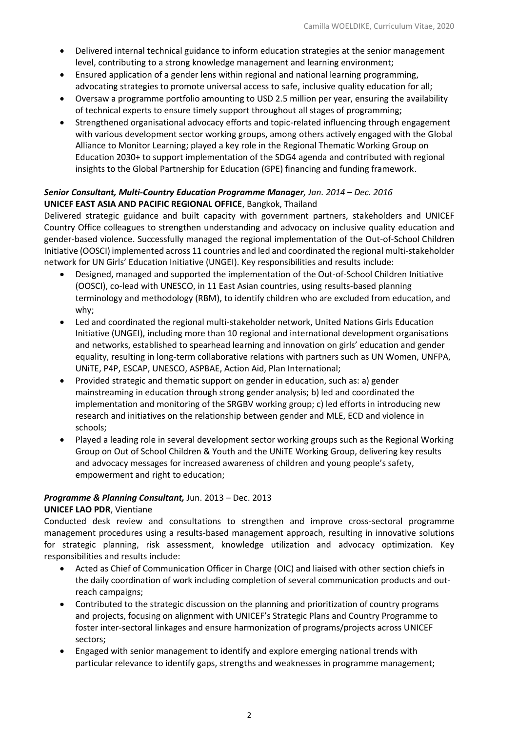- Delivered internal technical guidance to inform education strategies at the senior management level, contributing to a strong knowledge management and learning environment;
- Ensured application of a gender lens within regional and national learning programming, advocating strategies to promote universal access to safe, inclusive quality education for all;
- Oversaw a programme portfolio amounting to USD 2.5 million per year, ensuring the availability of technical experts to ensure timely support throughout all stages of programming;
- Strengthened organisational advocacy efforts and topic-related influencing through engagement with various development sector working groups, among others actively engaged with the Global Alliance to Monitor Learning; played a key role in the Regional Thematic Working Group on Education 2030+ to support implementation of the SDG4 agenda and contributed with regional insights to the Global Partnership for Education (GPE) financing and funding framework.

# *Senior Consultant, Multi-Country Education Programme Manager, Jan. 2014 – Dec. 2016* **UNICEF EAST ASIA AND PACIFIC REGIONAL OFFICE**, Bangkok, Thailand

Delivered strategic guidance and built capacity with government partners, stakeholders and UNICEF Country Office colleagues to strengthen understanding and advocacy on inclusive quality education and gender-based violence. Successfully managed the regional implementation of the Out-of-School Children Initiative (OOSCI) implemented across 11 countries and led and coordinated the regional multi-stakeholder network for UN Girls' Education Initiative (UNGEI). Key responsibilities and results include:

- Designed, managed and supported the implementation of the Out-of-School Children Initiative (OOSCI), co-lead with UNESCO, in 11 East Asian countries, using results-based planning terminology and methodology (RBM), to identify children who are excluded from education, and why;
- Led and coordinated the regional multi-stakeholder network, United Nations Girls Education Initiative (UNGEI), including more than 10 regional and international development organisations and networks, established to spearhead learning and innovation on girls' education and gender equality, resulting in long-term collaborative relations with partners such as UN Women, UNFPA, UNiTE, P4P, ESCAP, UNESCO, ASPBAE, Action Aid, Plan International;
- Provided strategic and thematic support on gender in education, such as: a) gender mainstreaming in education through strong gender analysis; b) led and coordinated the implementation and monitoring of the SRGBV working group; c) led efforts in introducing new research and initiatives on the relationship between gender and MLE, ECD and violence in schools;
- Played a leading role in several development sector working groups such as the Regional Working Group on Out of School Children & Youth and the UNiTE Working Group, delivering key results and advocacy messages for increased awareness of children and young people's safety, empowerment and right to education;

# *Programme & Planning Consultant,* Jun. 2013 – Dec. 2013

# **UNICEF LAO PDR**, Vientiane

Conducted desk review and consultations to strengthen and improve cross-sectoral programme management procedures using a results-based management approach, resulting in innovative solutions for strategic planning, risk assessment, knowledge utilization and advocacy optimization. Key responsibilities and results include:

- Acted as Chief of Communication Officer in Charge (OIC) and liaised with other section chiefs in the daily coordination of work including completion of several communication products and outreach campaigns;
- Contributed to the strategic discussion on the planning and prioritization of country programs and projects, focusing on alignment with UNICEF's Strategic Plans and Country Programme to foster inter-sectoral linkages and ensure harmonization of programs/projects across UNICEF sectors;
- Engaged with senior management to identify and explore emerging national trends with particular relevance to identify gaps, strengths and weaknesses in programme management;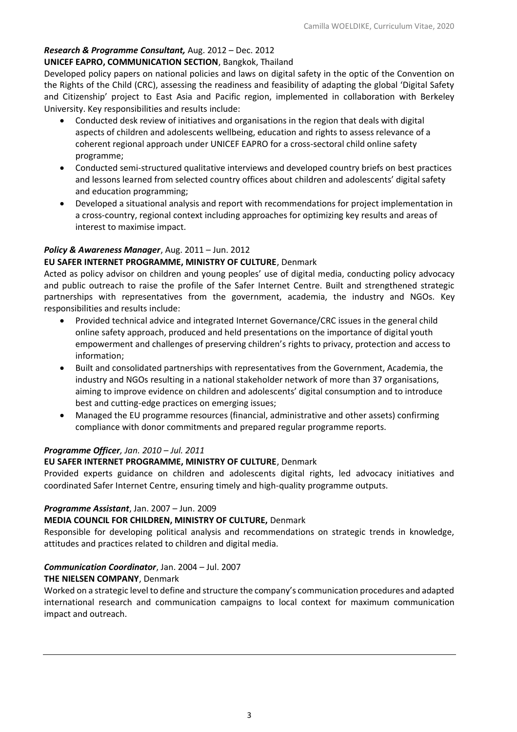# *Research & Programme Consultant,* Aug. 2012 – Dec. 2012 **UNICEF EAPRO, COMMUNICATION SECTION**, Bangkok, Thailand

Developed policy papers on national policies and laws on digital safety in the optic of the Convention on the Rights of the Child (CRC), assessing the readiness and feasibility of adapting the global 'Digital Safety and Citizenship' project to East Asia and Pacific region, implemented in collaboration with Berkeley University. Key responsibilities and results include:

- Conducted desk review of initiatives and organisations in the region that deals with digital aspects of children and adolescents wellbeing, education and rights to assess relevance of a coherent regional approach under UNICEF EAPRO for a cross-sectoral child online safety programme;
- Conducted semi-structured qualitative interviews and developed country briefs on best practices and lessons learned from selected country offices about children and adolescents' digital safety and education programming;
- Developed a situational analysis and report with recommendations for project implementation in a cross-country, regional context including approaches for optimizing key results and areas of interest to maximise impact.

# *Policy & Awareness Manager*, Aug. 2011 – Jun. 2012

# **EU SAFER INTERNET PROGRAMME, MINISTRY OF CULTURE**, Denmark

Acted as policy advisor on children and young peoples' use of digital media, conducting policy advocacy and public outreach to raise the profile of the Safer Internet Centre. Built and strengthened strategic partnerships with representatives from the government, academia, the industry and NGOs. Key responsibilities and results include:

- Provided technical advice and integrated Internet Governance/CRC issues in the general child online safety approach, produced and held presentations on the importance of digital youth empowerment and challenges of preserving children's rights to privacy, protection and access to information;
- Built and consolidated partnerships with representatives from the Government, Academia, the industry and NGOs resulting in a national stakeholder network of more than 37 organisations, aiming to improve evidence on children and adolescents' digital consumption and to introduce best and cutting-edge practices on emerging issues;
- Managed the EU programme resources (financial, administrative and other assets) confirming compliance with donor commitments and prepared regular programme reports.

# *Programme Officer, Jan. 2010 – Jul. 2011*

# **EU SAFER INTERNET PROGRAMME, MINISTRY OF CULTURE**, Denmark

Provided experts guidance on children and adolescents digital rights, led advocacy initiatives and coordinated Safer Internet Centre, ensuring timely and high-quality programme outputs.

## *Programme Assistant*, Jan. 2007 – Jun. 2009

## **MEDIA COUNCIL FOR CHILDREN, MINISTRY OF CULTURE,** Denmark

Responsible for developing political analysis and recommendations on strategic trends in knowledge, attitudes and practices related to children and digital media.

# *Communication Coordinator*, Jan. 2004 – Jul. 2007

## **THE NIELSEN COMPANY**, Denmark

Worked on a strategic level to define and structure the company's communication procedures and adapted international research and communication campaigns to local context for maximum communication impact and outreach.